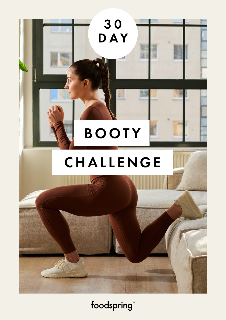

foodspring®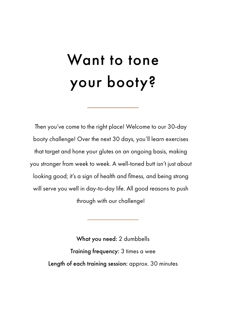## Want to tone your booty?

Then you've come to the right place! Welcome to our 30-day booty challenge! Over the next 30 days, you'll learn exercises that target and hone your glutes on an ongoing basis, making you stronger from week to week. A well-toned butt isn't just about looking good; it's a sign of health and fitness, and being strong will serve you well in day-to-day life. All good reasons to push through with our challenge!

> What you need: 2 dumbbells Training frequency: 3 times a wee Length of each training session: approx. 30 minutes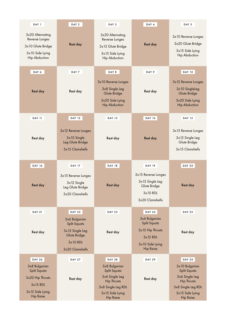| DAY 1                                                                                              | DAY <sub>2</sub>                                                                                         | DAY 4<br>DAY 3                                                                                     |                                                                                                               | DAY 5                                                                                            |  |
|----------------------------------------------------------------------------------------------------|----------------------------------------------------------------------------------------------------------|----------------------------------------------------------------------------------------------------|---------------------------------------------------------------------------------------------------------------|--------------------------------------------------------------------------------------------------|--|
| 3x20 Alternating<br>Reverse Lunges<br>3x10 Glute Bridge<br>3x10 Side Lying<br><b>Hip Abduction</b> | Rest day                                                                                                 | 3x20 Alternating<br>Reverse Lunges<br>3x15 Glute Bridge<br>3x15 Side Lying<br><b>Hip Abduction</b> | Rest day                                                                                                      | 3x10 Reverse Lunges<br>3x20 Glute Bridge<br>3x15 Side Lying<br><b>Hip Abduction</b>              |  |
| DAY 6                                                                                              | DAY 7                                                                                                    | DAY 8                                                                                              | DAY 9                                                                                                         | <b>DAY 10</b>                                                                                    |  |
| Rest day                                                                                           | Rest day                                                                                                 | 3x10 Reverse Lunges<br>3x8 Single Leg<br>Glute Bridge<br>3x20 Side Lying<br><b>Hip Abduction</b>   | Rest day                                                                                                      | 3x12 Reverse Lunges<br>3x10 SingleLeg<br>Glute Bridge<br>3x20 Side Lying<br><b>Hip Abduction</b> |  |
| <b>DAY 11</b>                                                                                      | <b>DAY 12</b>                                                                                            | <b>DAY 13</b>                                                                                      | DAY 14                                                                                                        | <b>DAY 15</b>                                                                                    |  |
| Rest day                                                                                           | 3x12 Reverse Lunges<br>3x10 Single<br>Leg Glute Bridge<br>3x15 Clamshells                                | Rest day                                                                                           | Rest day                                                                                                      | 3x15 Reverse Lunges<br>3x12 Single Leg<br>Glute Bridge<br>3x15 Clamshells                        |  |
| <b>DAY 16</b>                                                                                      | <b>DAY 17</b>                                                                                            | <b>DAY 18</b>                                                                                      | <b>DAY 19</b>                                                                                                 | <b>DAY 20</b>                                                                                    |  |
| Rest day                                                                                           | 3x15 Reverse Lunges<br>$3x12$ Single<br>Leg Glute Bridge<br>3x20 Clamshells                              | Rest day                                                                                           | 3x15 Reverse Lunges<br>3x15 Single Leg<br>Glute Bridge<br>$3x10$ RDL<br>3x20 Clamshells                       | Rest day                                                                                         |  |
| <b>DAY 21</b>                                                                                      | <b>DAY 22</b>                                                                                            | <b>DAY 23</b>                                                                                      | <b>DAY 24</b>                                                                                                 | <b>DAY 25</b>                                                                                    |  |
| Rest day                                                                                           | 3x6 Bulgarian<br><b>Split Squats</b><br>3x15 Single Leg<br>Glute Bridge<br>$3x10$ RDL<br>3x20 Clamshells | Rest day                                                                                           | 3x6 Bulgarian<br><b>Split Squats</b><br>3x15 Hip Thrusts<br>$3x12$ RDL<br>3x10 Side Lying<br><b>Hip Raise</b> | Rest day                                                                                         |  |
| <b>DAY 26</b>                                                                                      | <b>DAY 27</b>                                                                                            | <b>DAY 28</b>                                                                                      | <b>DAY 29</b>                                                                                                 | <b>DAY 30</b>                                                                                    |  |
| 3x8 Bulgarian<br><b>Split Squats</b>                                                               |                                                                                                          | 3x8 Bulgarian<br><b>Split Squats</b>                                                               |                                                                                                               | 3x10 Bulgarian<br><b>Split Squats</b>                                                            |  |
| 3x20 Hip Thrusts                                                                                   | Rest day                                                                                                 | 3x6 Single Leg<br><b>Hip Thrusts</b>                                                               | Rest day                                                                                                      | 3x6 Single Leg<br><b>Hip Thrusts</b>                                                             |  |
| $3x15$ RDL<br>3x12 Side Lying<br><b>Hip Raise</b>                                                  |                                                                                                          | 3x8 Single Leg RDL<br>3x15 Side Lying<br><b>Hip Raise</b>                                          |                                                                                                               | 3x8 Single Leg RDL<br>3x15 Side Lying<br><b>Hip Raise</b>                                        |  |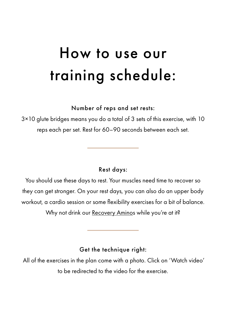## How to use our training schedule:

Number of reps and set rests:

3×10 glute bridges means you do a total of 3 sets of this exercise, with 10 reps each per set. Rest for 60–90 seconds between each set.

### Rest days:

You should use these days to rest. Your muscles need time to recover so they can get stronger. On your rest days, you can also do an upper body workout, a cardio session or some flexibility exercises for a bit of balance.

Why not drink ou[r Recovery Aminos w](https://www.foodspring.co.uk/recovery-aminos)hile you're at it?

Get the technique right:

 All of the exercises in the plan come with a photo. Click on 'Watch video' to be redirected to the video for the exercise.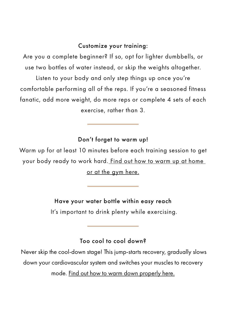### Customize your training:

Are you a complete beginner? If so, opt for lighter dumbbells, or use two bottles of water instead, or skip the weights altogether.

Listen to your body and only step things up once you're comfortable performing all of the reps. If you're a seasoned fitness fanatic, add more weight, do more reps or complete 4 sets of each exercise, rather than 3.

### Don't forget to warm up!

Warm up for at least 10 minutes before each training session to get your body ready to [work hard. Find out how to warm up at home](https://www.foodspring.co.uk/magazine/warm-up)  or at the gym here.

### Have your water bottle within easy reach

It's important to drink plenty while exercising.

### Too cool to cool down?

 Never skip the cool-down stage! This jump-starts recovery, gradually slows down your cardiovascular system and switches your muscles to recovery

mode[. Find out how to warm down properly here.](https://www.foodspring.co.uk/magazine/cool-down)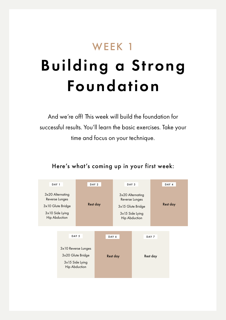### WEEK 1 Building a Strong Foundation

And we're off! This week will build the foundation for successful results. You'll learn the basic exercises. Take your time and focus on your technique.

#### DAY 5 DAY 3 DAY 4 DAY 7 DAY 2 DAY 6 DAY<sub>1</sub> 3x20 Alternating Reverse Lunges 3x10 Glute Bridge 3x10 Side Lying Hip Abduction 3x20 Alternating Reverse Lunges Rest day extend to a said of the Stridge of the Rest day 3x15 Side Lying Hip Abduction 3x10 Reverse Lunges 3x20 Glute Bridge 3x15 Side Lying Hip Abduction Rest day Rest day

### Here's what's coming up in your first week: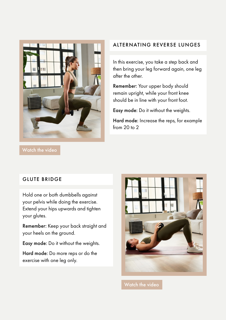

### ALTERNATING REVERSE LUNGES

In this exercise, you take a step back and then bring your leg forward again, one leg after the other.

Remember: Your upper body should remain upright, while your front knee should be in line with your front foot.

Easy mode: Do it without the weights.

Hard mode: Increase the reps, for example from 20 to 2

### GLUTE BRIDGE

Hold one or both dumbbells against your pelvis while doing the exercise. Extend your hips upwards and tighten your glutes.

Remember: Keep your back straight and your heels on the ground.

Easy mode: Do it without the weights.

Hard mode: Do more reps or do the exercise with one leg only.



[Watch the video](https://www.foodspring.co.uk/magazine/booty-workout#Glute_Bridge)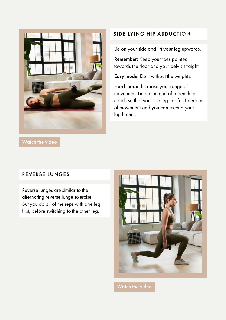

### SIDE LYING HIP ABDUCTION

Lie on your side and lift your leg upwards.

Remember: Keep your toes pointed towards the floor and your pelvis straight.

Easy mode: Do it without the weights.

Hard mode: Increase your range of movement. Lie on the end of a bench or couch so that your top leg has full freedom of movement and you can extend your leg further.

### REVERSE LUNGES

Reverse lunges are similar to the alternating reverse lunge exercise. But you do all of the reps with one leg first, before switching to the other leg.

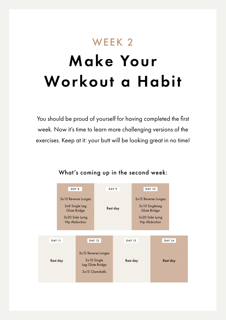### WEEK 2

## Make Your Workout a Habit

You should be proud of yourself for having completed the first week. Now it's time to learn more challenging versions of the exercises. Keep at it: your butt will be looking great in no time!

### What's coming up in the second week:

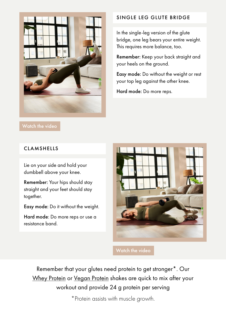

SINGLE LEG GLUTE BRIDGE

In the single-leg version of the glute bridge, one leg bears your entire weight. This requires more balance, too.

Remember: Keep your back straight and your heels on the ground.

Easy mode: Do without the weight or rest your top leg against the other knee.

Hard mode: Do more reps.

### [Watch the video](https://www.google.com/url?q=https://www.foodspring.co.uk/magazine/booty-workout%23Single_Leg_Glute_Bridge&sa=D&source=docs&ust=1649933462152227&usg=AOvVaw0BvnPBwZ1gni5KtL6dGIIT)

### CLAMSHELLS

Lie on your side and hold your dumbbell above your knee.

Remember: Your hips should stay straight and your feet should stay together.

Easy mode: Do it without the weight.

Hard mode: Do more reps or use a resistance band.



[Watch the video](https://www.foodspring.co.uk/magazine/booty-workout#Clamshells)

Remember that your glutes need protein to get stronger\*. Our [Whey Protein o](https://www.foodspring.co.uk/whey-protein)[r Vegan Protein](https://www.foodspring.co.uk/vegan-protein) shakes are quick to mix after your workout and provide 24 g protein per serving

\*Protein assists with muscle growth.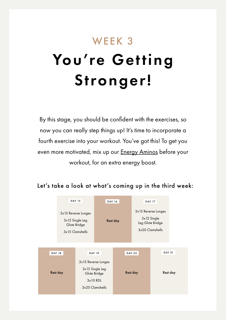### WEEK 3

# You're Getting Stronger!

By this stage, you should be confident with the exercises, so now you can really step things up! It's time to incorporate a fourth exercise into your workout. You've got this! To get you even more motivated, mix up our [Energy Aminos b](https://www.foodspring.co.uk/energy-aminos)efore your workout, for an extra energy boost.

### Let's take a look at what's coming up in the third week:

|                                                                                                     | <b>DAY 15</b>                                                               |  | <b>DAY 16</b> |          | <b>DAY 17</b>                                                               |          |               |
|-----------------------------------------------------------------------------------------------------|-----------------------------------------------------------------------------|--|---------------|----------|-----------------------------------------------------------------------------|----------|---------------|
|                                                                                                     | 3x15 Reverse Lunges<br>$3x12$ Single Leg<br>Glute Bridge<br>3x15 Clamshells |  | Rest day      |          | 3x15 Reverse Lunges<br>$3x12$ Single<br>Leg Glute Bridge<br>3x20 Clamshells |          |               |
|                                                                                                     |                                                                             |  |               |          |                                                                             |          |               |
|                                                                                                     | <b>DAY 18</b><br><b>DAY 19</b>                                              |  |               |          | <b>DAY 20</b>                                                               |          | <b>DAY 21</b> |
| 3x15 Reverse Lunges<br>3x15 Single Leg<br>Rest day<br>Glute Bridge<br>$3x10$ RDL<br>3x20 Clamshells |                                                                             |  |               | Rest day |                                                                             | Rest day |               |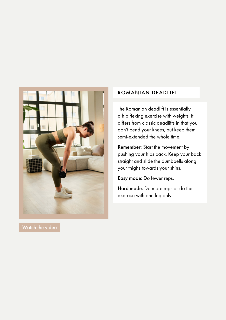

ROMANIAN DEADLIFT

The Romanian deadlift is essentially a hip flexing exercise with weights. It differs from classic deadlifts in that you don't bend your knees, but keep them semi-extended the whole time.

Remember: Start the movement by pushing your hips back. Keep your back straight and slide the dumbbells along your thighs towards your shins.

Easy mode: Do fewer reps.

Hard mode: Do more reps or do the exercise with one leg only.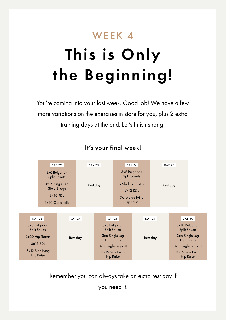## WEEK 4 This is Only the Beginning!

You're coming into your last week. Good job! We have a few more variations on the exercises in store for you, plus 2 extra training days at the end. Let's finish strong!



### It's your final week!

Remember you can always take an extra rest day if you need it.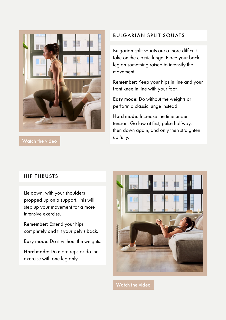

[Watch the video](https://www.foodspring.co.uk/magazine/booty-workout#Bulgarian_Split_Squats)

#### BULGARIAN SPLIT SQUATS

Bulgarian split squats are a more difficult take on the classic lunge. Place your back leg on something raised to intensify the movement.

Remember: Keep your hips in line and your front knee in line with your foot.

Easy mode: Do without the weights or perform a classic lunge instead.

Hard mode: Increase the time under tension. Go low at first, pulse halfway, then down again, and only then straighten up fully.

#### HIP THRUSTS

Lie down, with your shoulders propped up on a support. This will step up your movement for a more intensive exercise.

Remember: Extend your hips completely and tilt your pelvis back.

Easy mode: Do it without the weights.

Hard mode: Do more reps or do the exercise with one leg only.

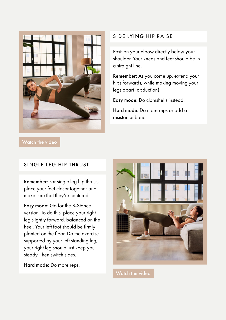

### SIDE LYING HIP RAISE

Position your elbow directly below your shoulder. Your knees and feet should be in a straight line.

Remember: As you come up, extend your hips forwards, while making moving your legs apart (abduction).

Easy mode: Do clamshells instead.

Hard mode: Do more reps or add a resistance band.

#### SINGLE LEG HIP THRUST

Remember: For single leg hip thrusts, place your feet closer together and make sure that they're centered.

Easy mode: Go for the B-Stance version. To do this, place your right leg slightly forward, balanced on the heel. Your left foot should be firmly planted on the floor. Do the exercise supported by your left standing leg; your right leg should just keep you steady. Then switch sides.

Hard mode: Do more reps.